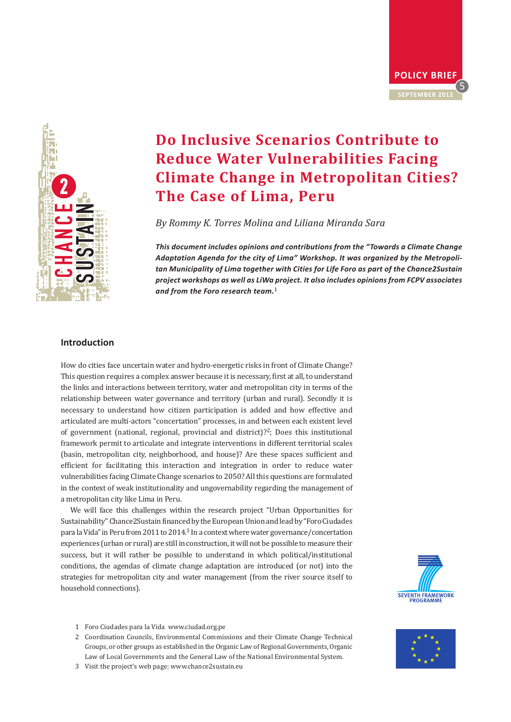



# **Do Inclusive Scenarios Contribute to Reduce Water Vulnerabilities Facing Climate Change in Metropolitan Cities? The Case of Lima, Peru**

*By Rommy K. Torres Molina and Liliana Miranda Sara* 

*This document includes opinions and contributions from the "Towards a Climate Change Adaptation Agenda for the city of Lima" Workshop. It was organized by the Metropolitan Municipality of Lima together with Cities for Life Foro as part of the Chance2Sustain project workshops as well as LiWa project. It also includes opinions from FCPV associates and from the Foro research team.*<sup>1</sup>

# **Introduction**

How do cities face uncertain water and hydro-energetic risks in front of Climate Change? This question requires a complex answer because it is necessary, first at all, to understand the links and interactions between territory, water and metropolitan city in terms of the relationship between water governance and territory (urban and rural). Secondly it is necessary to understand how citizen participation is added and how effective and articulated are multi-actors "concertation" processes, in and between each existent level of government (national, regional, provincial and district)?2; Does this institutional framework permit to articulate and integrate interventions in different territorial scales (basin, metropolitan city, neighborhood, and house)? Are these spaces sufficient and efficient for facilitating this interaction and integration in order to reduce water vulnerabilities facing Climate Change scenarios to 2050? All this questions are formulated in the context of weak institutionality and ungovernability regarding the management of a metropolitan city like Lima in Peru.

We will face this challenges within the research project "Urban Opportunities for Sustainability" Chance2Sustain financed by the European Union and lead by "Foro Ciudades para la Vida" in Peru from 2011 to 2014.<sup>3</sup> In a context where water governance/concertation experiences (urban or rural) are still in construction, it will not be possible to measure their success, but it will rather be possible to understand in which political/institutional conditions, the agendas of climate change adaptation are introduced (or not) into the strategies for metropolitan city and water management (from the river source itself to household connections).



- 1 Foro Ciudades para la Vida www.ciudad.org.pe
- 2 Coordination Councils, Environmental Commissions and their Climate Change Technical Groups, or other groups as established in the Organic Law of Regional Governments, Organic Law of Local Governments and the General Law of the National Environmental System.
- 3 Visit the project's web page: www.chance2sustain.eu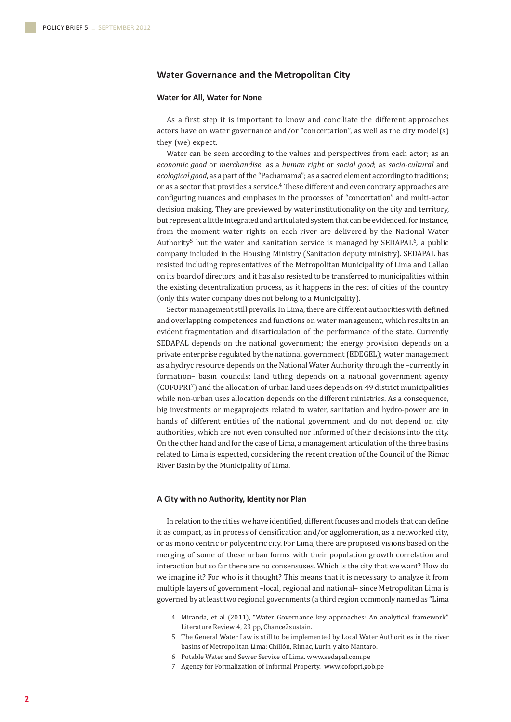# **Water Governance and the Metropolitan City**

# **Water for All, Water for None**

As a first step it is important to know and conciliate the different approaches actors have on water governance and/or "concertation", as well as the city model(s) they (we) expect.

Water can be seen according to the values and perspectives from each actor; as an *economic good* or *merchandise*; as a *human right* or *social good*; as *socio-cultural* and *ecological good*, as a part of the "Pachamama"; as a sacred element according to traditions; or as a sector that provides a service.4 These different and even contrary approaches are configuring nuances and emphases in the processes of "concertation" and multi-actor decision making. They are previewed by water institutionality on the city and territory, but represent a little integrated and articulated system that can be evidenced, for instance, from the moment water rights on each river are delivered by the National Water Authority<sup>5</sup> but the water and sanitation service is managed by  $\mathsf{SEDAPAL}^6$ , a public company included in the Housing Ministry (Sanitation deputy ministry). SEDAPAL has resisted including representatives of the Metropolitan Municipality of Lima and Callao on its board of directors; and it has also resisted to be transferred to municipalities within the existing decentralization process, as it happens in the rest of cities of the country (only this water company does not belong to a Municipality).

Sector management still prevails. In Lima, there are different authorities with defined and overlapping competences and functions on water management, which results in an evident fragmentation and disarticulation of the performance of the state. Currently SEDAPAL depends on the national government; the energy provision depends on a private enterprise regulated by the national government (EDEGEL); water management as a hydryc resource depends on the National Water Authority through the –currently in formation– basin councils; land titling depends on a national government agency (COFOPRI7) and the allocation of urban land uses depends on 49 district municipalities while non-urban uses allocation depends on the different ministries. As a consequence, big investments or megaprojects related to water, sanitation and hydro-power are in hands of different entities of the national government and do not depend on city authorities, which are not even consulted nor informed of their decisions into the city. On the other hand and for the case of Lima, a management articulation of the three basins related to Lima is expected, considering the recent creation of the Council of the Rimac River Basin by the Municipality of Lima.

# **A City with no Authority, Identity nor Plan**

In relation to the cities we have identified, different focuses and models that can define it as compact, as in process of densification and/or agglomeration, as a networked city, or as mono centric or polycentric city. For Lima, there are proposed visions based on the merging of some of these urban forms with their population growth correlation and interaction but so far there are no consensuses. Which is the city that we want? How do we imagine it? For who is it thought? This means that it is necessary to analyze it from multiple layers of government –local, regional and national– since Metropolitan Lima is governed by at least two regional governments (a third region commonly named as "Lima

- 4 Miranda, et al (2011), "Water Governance key approaches: An analytical framework" Literature Review 4, 23 pp, Chance2sustain.
- 5 The General Water Law is still to be implemented by Local Water Authorities in the river basins of Metropolitan Lima: Chillón, Rímac, Lurín y alto Mantaro.
- 6 Potable Water and Sewer Service of Lima. www.sedapal.com.pe
- 7 Agency for Formalization of Informal Property. www.cofopri.gob.pe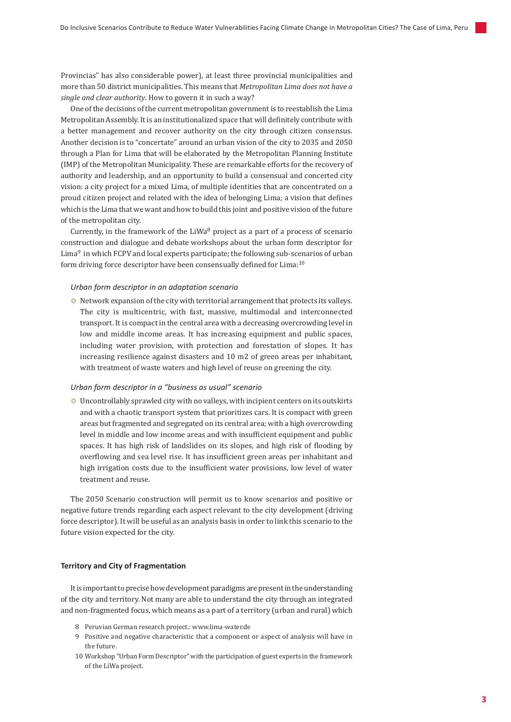Provincias" has also considerable power), at least three provincial municipalities and more than 50 district municipalities. This means that *Metropolitan Lima does not have a single and clear authority*. How to govern it in such a way?

One of the decisions of the current metropolitan government is to reestablish the Lima Metropolitan Assembly. It is an institutionalized space that will definitely contribute with a better management and recover authority on the city through citizen consensus. Another decision is to "concertate" around an urban vision of the city to 2035 and 2050 through a Plan for Lima that will be elaborated by the Metropolitan Planning Institute (IMP) of the Metropolitan Municipality. These are remarkable efforts for the recovery of authority and leadership, and an opportunity to build a consensual and concerted city vision: a city project for a mixed Lima, of multiple identities that are concentrated on a proud citizen project and related with the idea of belonging Lima; a vision that defines which is the Lima that we want and how to build this joint and positive vision of the future of the metropolitan city.

Currently, in the framework of the LiWa $8$  project as a part of a process of scenario construction and dialogue and debate workshops about the urban form descriptor for Lima $9$  in which FCPV and local experts participate; the following sub-scenarios of urban form driving force descriptor have been consensually defined for Lima:10

# *Urban form descriptor in an adaptation scenario*

 $\bullet$  Network expansion of the city with territorial arrangement that protects its valleys. The city is multicentric, with fast, massive, multimodal and interconnected transport. It is compact in the central area with a decreasing overcrowding level in low and middle income areas. It has increasing equipment and public spaces, including water provision, with protection and forestation of slopes. It has increasing resilience against disasters and 10 m2 of green areas per inhabitant, with treatment of waste waters and high level of reuse on greening the city.

## *Urban form descriptor in a "business as usual" scenario*

• Uncontrollably sprawled city with no valleys, with incipient centers on its outskirts and with a chaotic transport system that prioritizes cars. It is compact with green areas but fragmented and segregated on its central area; with a high overcrowding level in middle and low income areas and with insufficient equipment and public spaces. It has high risk of landslides on its slopes, and high risk of flooding by overflowing and sea level rise. It has insufficient green areas per inhabitant and high irrigation costs due to the insufficient water provisions, low level of water treatment and reuse.

The 2050 Scenario construction will permit us to know scenarios and positive or negative future trends regarding each aspect relevant to the city development (driving force descriptor). It will be useful as an analysis basis in order to link this scenario to the future vision expected for the city.

#### **Territory and City of Fragmentation**

It is important to precise how development paradigms are present in the understanding of the city and territory. Not many are able to understand the city through an integrated and non-fragmented focus, which means as a part of a territory (urban and rural) which

- 8 Peruvian German research project.: www.lima-water.de
- 9 Positive and negative characteristic that a component or aspect of analysis will have in the future.
- 10 Workshop "Urban Form Descriptor" with the participation of guest experts in the framework of the LiWa project.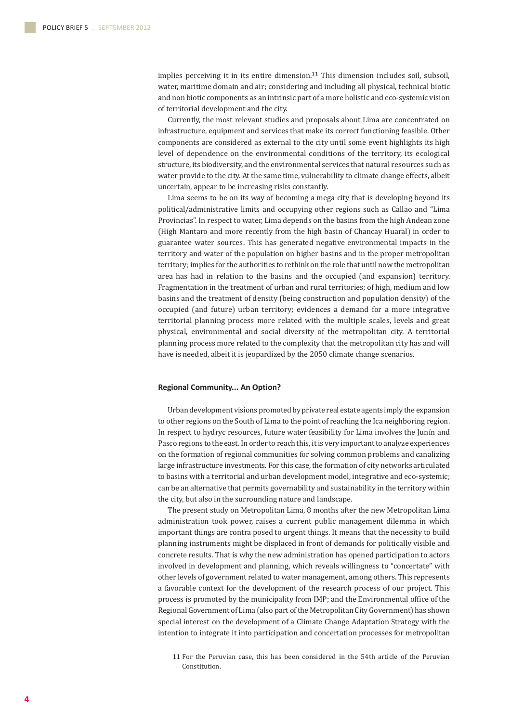implies perceiving it in its entire dimension. $11$  This dimension includes soil, subsoil, water, maritime domain and air; considering and including all physical, technical biotic and non biotic components as an intrinsic part of a more holistic and eco-systemic vision of territorial development and the city.

Currently, the most relevant studies and proposals about Lima are concentrated on infrastructure, equipment and services that make its correct functioning feasible. Other components are considered as external to the city until some event highlights its high level of dependence on the environmental conditions of the territory, its ecological structure, its biodiversity, and the environmental services that natural resources such as water provide to the city. At the same time, vulnerability to climate change effects, albeit uncertain, appear to be increasing risks constantly.

Lima seems to be on its way of becoming a mega city that is developing beyond its political/administrative limits and occupying other regions such as Callao and "Lima Provincias". In respect to water, Lima depends on the basins from the high Andean zone (High Mantaro and more recently from the high basin of Chancay Huaral) in order to guarantee water sources. This has generated negative environmental impacts in the territory and water of the population on higher basins and in the proper metropolitan territory; implies for the authorities to rethink on the role that until now the metropolitan area has had in relation to the basins and the occupied (and expansion) territory. Fragmentation in the treatment of urban and rural territories; of high, medium and low basins and the treatment of density (being construction and population density) of the occupied (and future) urban territory; evidences a demand for a more integrative territorial planning process more related with the multiple scales, levels and great physical, environmental and social diversity of the metropolitan city. A territorial planning process more related to the complexity that the metropolitan city has and will have is needed, albeit it is jeopardized by the 2050 climate change scenarios.

## **Regional Community... An Option?**

Urban development visions promoted by private real estate agents imply the expansion to other regions on the South of Lima to the point of reaching the Ica neighboring region. In respect to hydryc resources, future water feasibility for Lima involves the Junín and Pasco regions to the east. In order to reach this, it is very important to analyze experiences on the formation of regional communities for solving common problems and canalizing large infrastructure investments. For this case, the formation of city networks articulated to basins with a territorial and urban development model, integrative and eco-systemic; can be an alternative that permits governability and sustainability in the territory within the city, but also in the surrounding nature and landscape.

The present study on Metropolitan Lima, 8 months after the new Metropolitan Lima administration took power, raises a current public management dilemma in which important things are contra posed to urgent things. It means that the necessity to build planning instruments might be displaced in front of demands for politically visible and concrete results. That is why the new administration has opened participation to actors involved in development and planning, which reveals willingness to "concertate" with other levels of government related to water management, among others. This represents a favorable context for the development of the research process of our project. This process is promoted by the municipality from IMP; and the Environmental office of the Regional Government of Lima (also part of the Metropolitan City Government) has shown special interest on the development of a Climate Change Adaptation Strategy with the intention to integrate it into participation and concertation processes for metropolitan

<sup>11</sup> For the Peruvian case, this has been considered in the 54th article of the Peruvian Constitution.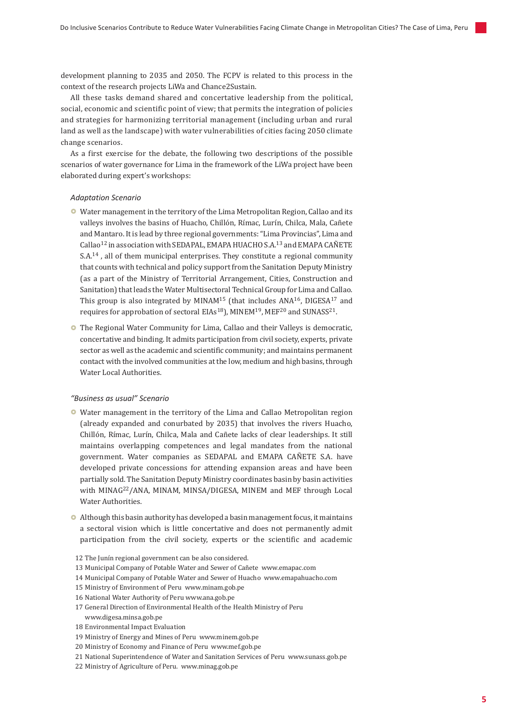development planning to 2035 and 2050. The FCPV is related to this process in the context of the research projects LiWa and Chance2Sustain.

All these tasks demand shared and concertative leadership from the political, social, economic and scientific point of view; that permits the integration of policies and strategies for harmonizing territorial management (including urban and rural land as well as the landscape) with water vulnerabilities of cities facing 2050 climate change scenarios.

As a first exercise for the debate, the following two descriptions of the possible scenarios of water governance for Lima in the framework of the LiWa project have been elaborated during expert's workshops:

#### *Adaptation Scenario*

- Water management in the territory of the Lima Metropolitan Region, Callao and its valleys involves the basins of Huacho, Chillón, Rímac, Lurín, Chilca, Mala, Cañete and Mantaro. It is lead by three regional governments: "Lima Provincias", Lima and Callao<sup>12</sup> in association with SEDAPAL, EMAPA HUACHO S.A.<sup>13</sup> and EMAPA CAÑETE S.A.<sup>14</sup>, all of them municipal enterprises. They constitute a regional community that counts with technical and policy support from the Sanitation Deputy Ministry (as a part of the Ministry of Territorial Arrangement, Cities, Construction and Sanitation) that leads the Water Multisectoral Technical Group for Lima and Callao. This group is also integrated by MINAM<sup>15</sup> (that includes ANA<sup>16</sup>, DIGESA<sup>17</sup> and requires for approbation of sectoral EIAs<sup>18</sup>), MINEM<sup>19</sup>, MEF<sup>20</sup> and SUNASS<sup>21</sup>.
- **•** The Regional Water Community for Lima, Callao and their Valleys is democratic, concertative and binding. It admits participation from civil society, experts, private sector as well as the academic and scientific community; and maintains permanent contact with the involved communities at the low, medium and high basins, through Water Local Authorities.

# *"Business as usual" Scenario*

- Water management in the territory of the Lima and Callao Metropolitan region (already expanded and conurbated by 2035) that involves the rivers Huacho, Chillón, Rímac, Lurín, Chilca, Mala and Cañete lacks of clear leaderships. It still maintains overlapping competences and legal mandates from the national government. Water companies as SEDAPAL and EMAPA CAÑETE S.A. have developed private concessions for attending expansion areas and have been partially sold. The Sanitation Deputy Ministry coordinates basin by basin activities with MINAG22/ANA, MINAM, MINSA/DIGESA, MINEM and MEF through Local Water Authorities.
- $\bullet$  Although this basin authority has developed a basin management focus, it maintains a sectoral vision which is little concertative and does not permanently admit participation from the civil society, experts or the scientific and academic
- 12 The Junín regional government can be also considered.
- 13 Municipal Company of Potable Water and Sewer of Cañete www.emapac.com
- 14 Municipal Company of Potable Water and Sewer of Huacho www.emapahuacho.com
- 15 Ministry of Environment of Peru www.minam.gob.pe
- 16 National Water Authority of Peru www.ana.gob.pe
- 17 General Direction of Environmental Health of the Health Ministry of Peru www.digesa.minsa.gob.pe
- 18 Environmental Impact Evaluation
- 19 Ministry of Energy and Mines of Peru www.minem.gob.pe
- 20 Ministry of Economy and Finance of Peru www.mef.gob.pe
- 21 National Superintendence of Water and Sanitation Services of Peru www.sunass.gob.pe
- 22 Ministry of Agriculture of Peru. www.minag.gob.pe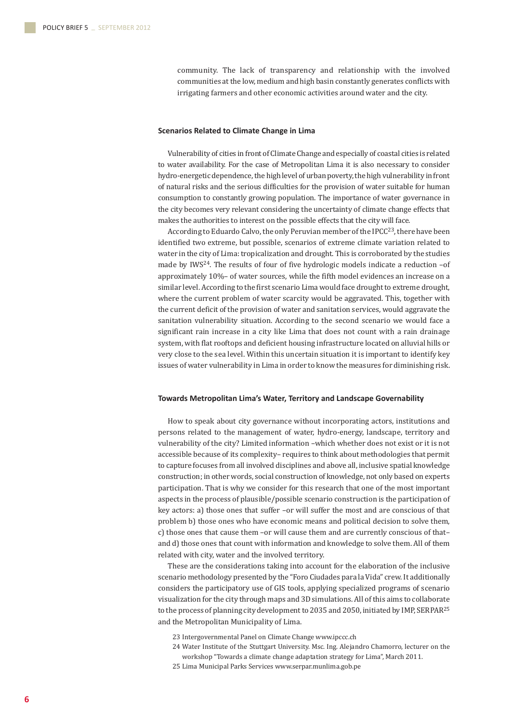community. The lack of transparency and relationship with the involved communities at the low, medium and high basin constantly generates conflicts with irrigating farmers and other economic activities around water and the city.

## **Scenarios Related to Climate Change in Lima**

Vulnerability of cities in front of Climate Change and especially of coastal cities is related to water availability. For the case of Metropolitan Lima it is also necessary to consider hydro-energetic dependence, the high level of urban poverty, the high vulnerability in front of natural risks and the serious difficulties for the provision of water suitable for human consumption to constantly growing population. The importance of water governance in the city becomes very relevant considering the uncertainty of climate change effects that makes the authorities to interest on the possible effects that the city will face.

According to Eduardo Calvo, the only Peruvian member of the IPCC<sup>23</sup>, there have been identified two extreme, but possible, scenarios of extreme climate variation related to water in the city of Lima: tropicalization and drought. This is corroborated by the studies made by IWS<sup>24</sup>. The results of four of five hydrologic models indicate a reduction -of approximately 10%– of water sources, while the fifth model evidences an increase on a similar level. According to the first scenario Lima would face drought to extreme drought, where the current problem of water scarcity would be aggravated. This, together with the current deficit of the provision of water and sanitation services, would aggravate the sanitation vulnerability situation. According to the second scenario we would face a significant rain increase in a city like Lima that does not count with a rain drainage system, with flat rooftops and deficient housing infrastructure located on alluvial hills or very close to the sea level. Within this uncertain situation it is important to identify key issues of water vulnerability in Lima in order to know the measures for diminishing risk.

## **Towards Metropolitan Lima's Water, Territory and Landscape Governability**

How to speak about city governance without incorporating actors, institutions and persons related to the management of water, hydro-energy, landscape, territory and vulnerability of the city? Limited information –which whether does not exist or it is not accessible because of its complexity– requires to think about methodologies that permit to capture focuses from all involved disciplines and above all, inclusive spatial knowledge construction; in other words, social construction of knowledge, not only based on experts participation. That is why we consider for this research that one of the most important aspects in the process of plausible/possible scenario construction is the participation of key actors: a) those ones that suffer –or will suffer the most and are conscious of that problem b) those ones who have economic means and political decision to solve them, c) those ones that cause them –or will cause them and are currently conscious of that– and d) those ones that count with information and knowledge to solve them. All of them related with city, water and the involved territory.

These are the considerations taking into account for the elaboration of the inclusive scenario methodology presented by the "Foro Ciudades para la Vida" crew. It additionally considers the participatory use of GIS tools, applying specialized programs of scenario visualization for the city through maps and 3D simulations. All of this aims to collaborate to the process of planning city development to 2035 and 2050, initiated by IMP, SERPAR<sup>25</sup> and the Metropolitan Municipality of Lima.

- 23 Intergovernmental Panel on Climate Change www.ipccc.ch
- 24 Water Institute of the Stuttgart University. Msc. Ing. Alejandro Chamorro, lecturer on the workshop "Towards a climate change adaptation strategy for Lima", March 2011.
- 25 Lima Municipal Parks Services www.serpar.munlima.gob.pe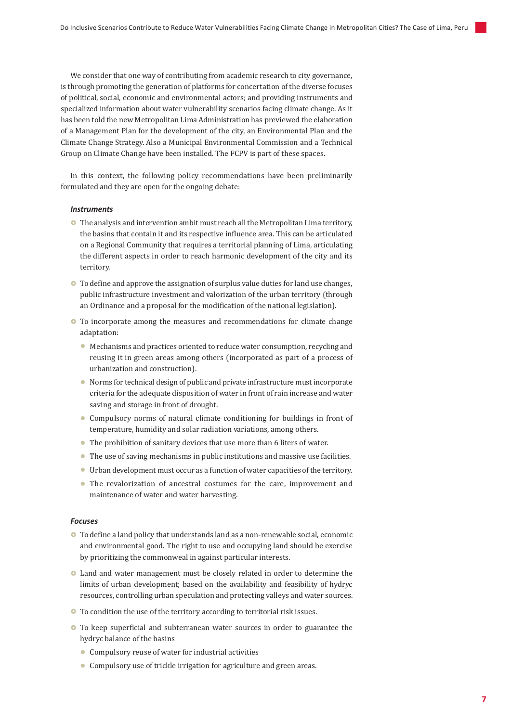We consider that one way of contributing from academic research to city governance, is through promoting the generation of platforms for concertation of the diverse focuses of political, social, economic and environmental actors; and providing instruments and specialized information about water vulnerability scenarios facing climate change. As it has been told the new Metropolitan Lima Administration has previewed the elaboration of a Management Plan for the development of the city, an Environmental Plan and the Climate Change Strategy. Also a Municipal Environmental Commission and a Technical Group on Climate Change have been installed. The FCPV is part of these spaces.

In this context, the following policy recommendations have been preliminarily formulated and they are open for the ongoing debate:

## *Instruments*

- $\bullet$  The analysis and intervention ambit must reach all the Metropolitan Lima territory, the basins that contain it and its respective influence area. This can be articulated on a Regional Community that requires a territorial planning of Lima, articulating the different aspects in order to reach harmonic development of the city and its territory.
- $\bullet$  To define and approve the assignation of surplus value duties for land use changes, public infrastructure investment and valorization of the urban territory (through an Ordinance and a proposal for the modification of the national legislation).
- To incorporate among the measures and recommendations for climate change adaptation:
	- $\bullet$  Mechanisms and practices oriented to reduce water consumption, recycling and reusing it in green areas among others (incorporated as part of a process of urbanization and construction).
	- Norms for technical design of public and private infrastructure must incorporate criteria for the adequate disposition of water in front of rain increase and water saving and storage in front of drought.
	- Compulsory norms of natural climate conditioning for buildings in front of temperature, humidity and solar radiation variations, among others.
	- The prohibition of sanitary devices that use more than 6 liters of water.
	- $\bullet$  The use of saving mechanisms in public institutions and massive use facilities.
	- Urban development must occur as a function of water capacities of the territory.
	- The revalorization of ancestral costumes for the care, improvement and maintenance of water and water harvesting.

# *Focuses*

- $\bullet$  To define a land policy that understands land as a non-renewable social, economic and environmental good. The right to use and occupying land should be exercise by prioritizing the commonweal in against particular interests.
- $\bullet$  Land and water management must be closely related in order to determine the limits of urban development; based on the availability and feasibility of hydryc resources, controlling urban speculation and protecting valleys and water sources.
- To condition the use of the territory according to territorial risk issues.
- To keep superficial and subterranean water sources in order to guarantee the hydryc balance of the basins
	- $\bullet$  Compulsory reuse of water for industrial activities
	- Compulsory use of trickle irrigation for agriculture and green areas.